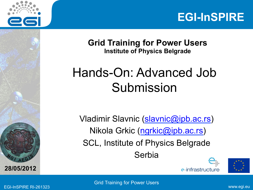



**Grid Training for Power Users Institute of Physics Belgrade** 

### Hands-On: Advanced Job Submission

Vladimir Slavnic (slavnic@ipb.ac.rs) Nikola Grkic (ngrkic@ipb.ac.rs) SCL, Institute of Physics Belgrade Serbia





EGI-InSPIRE RI-261323 www.egi.eu Grid Training for Power Users

**A E <sup>G</sup>**

**28/05/2012**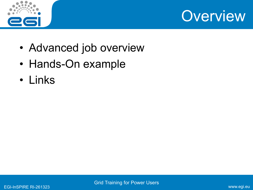



- Advanced job overview
- Hands-On example
- Links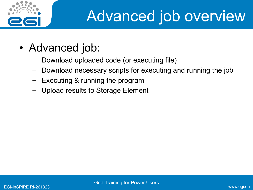

# Advanced job overview

- Advanced job:
	- − Download uploaded code (or executing file)
	- − Download necessary scripts for executing and running the job
	- − Executing & running the program
	- Upload results to Storage Element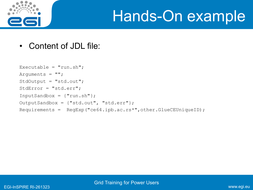

## Hands-On example

• Content of JDL file:

```
Executable = "run.sh";
Arguments = ";
StdOutput = "std.out"; 
StdError = "std.err"; 
InputStreamdbox = { "run.sh" };OutputSandbox = {"std.out", "std.err"}; 
Requirements = RegExp("ce64.ipb.ac.rs*",other.GlueCEUniqueID);
```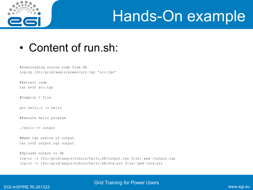

## Hands-On example

#### • Content of run.sh:

#Downloading source code from SE lcg-cp lfn:/grid/aegis/power/src.tgz 'src.tgz'

#Extract code tar xvzf src.tgz

#Compile C file

gcc hello.c -o hello

#Execute hello program

./hello >> output

#Make tgz arhive of output tar cvzf output.tgz output

```
#Uploads output to SE 
lcg-cr -l lfn:/grid/aegis/nikola/hello.SE/output.tgz file:`pwd`/output.tgz 
lcg-cr -l lfn:/grid/aegis/nikola/hello.SE/std.err file:`pwd`/std.err
```
#### EGI-InSPIRE RI-261323 www.egi.eu Grid Training for Power Users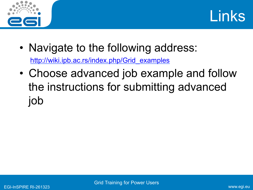



- Navigate to the following address: http://wiki.ipb.ac.rs/index.php/Grid\_examples
- Choose advanced job example and follow the instructions for submitting advanced job